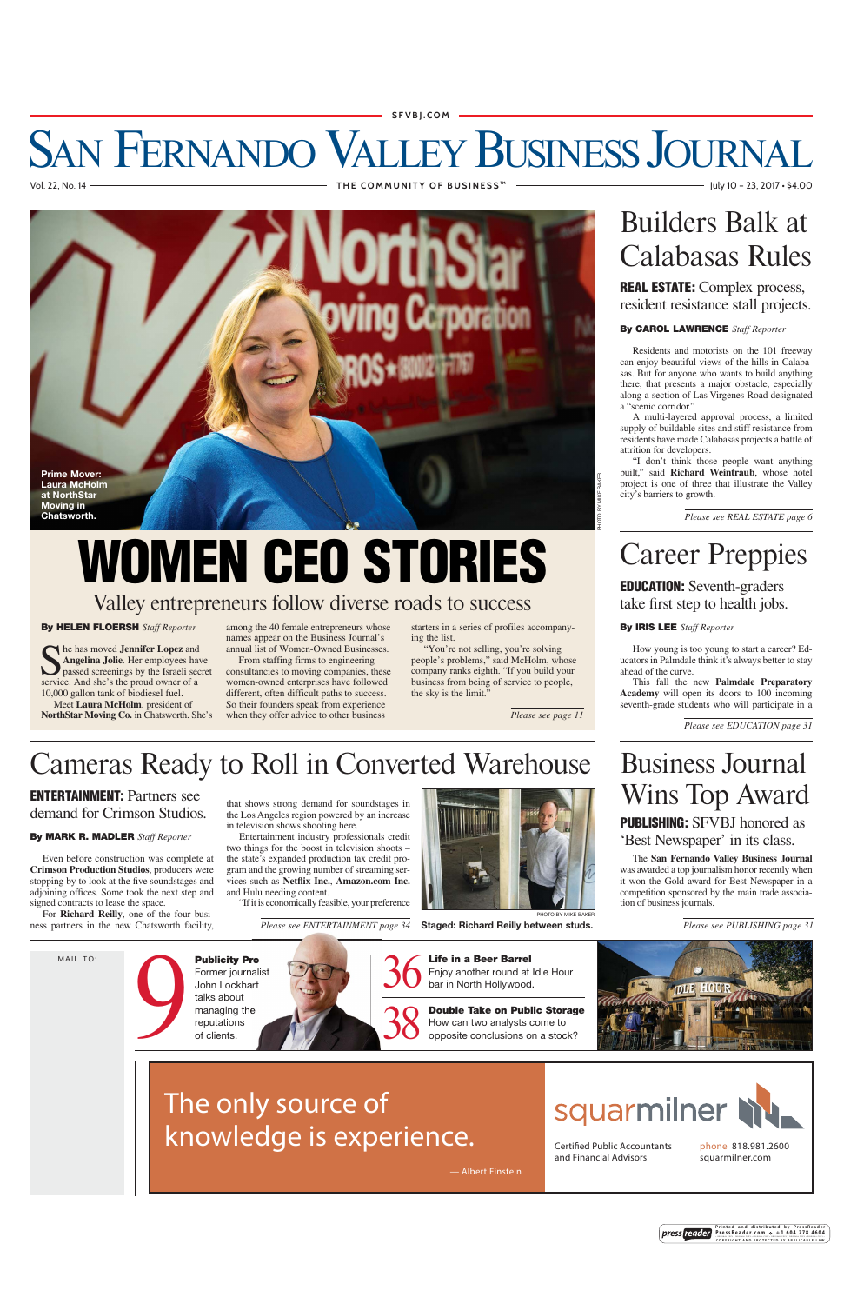#### **SFVBJ.COM**

### SAN FERNANDO VALLEY BUSINESS JOURNAL Vol. 22, No. 14 **THE COMMUNITY OF BUSINESS ™** July 10 – 23, 2017 • \$4.00



# Valley entrepreneurs follow diverse roads to success **WOMEN CEO STORIES**

#### **By HELEN FLOERSH** *Staff Reporter*

**S** he has moved **Jennifer Lopez** and **Angelina Jolie**. Her employees have passed screenings by the Israeli sec **Angelina Jolie**. Her employees have passed screenings by the Israeli secret service. And she's the proud owner of a 10,000 gallon tank of biodiesel fuel.

Meet **Laura McHolm**, president of **NorthStar Moving Co.** in Chatsworth. She's

among the 40 female entrepreneurs whose names appear on the Business Journal's annual list of Women-Owned Businesses.

From staffing firms to engineering consultancies to moving companies, these women-owned enterprises have followed different, often difficult paths to success. So their founders speak from experience when they offer advice to other business

starters in a series of profiles accompanying the list.

"You're not selling, you're solving people's problems," said McHolm, whose company ranks eighth. "If you build your business from being of service to people, the sky is the limit."

*Please see page 11*

# Builders Balk at Calabasas Rules

**REAL ESTATE:** Complex process, resident resistance stall projects.

### **By CAROL LAWRENCE** *Staff Reporter*

Residents and motorists on the 101 freeway can enjoy beautiful views of the hills in Calabasas. But for anyone who wants to build anything there, that presents a major obstacle, especially along a section of Las Virgenes Road designated a "scenic corridor."

A multi-layered approval process, a limited supply of buildable sites and stiff resistance from residents have made Calabasas projects a battle of attrition for developers.

"I don't think those people want anything built," said **Richard Weintraub**, whose hotel project is one of three that illustrate the Valley city's barriers to growth.

*Please see REAL ESTATE page 6*

# Career Preppies

**EDUCATION:** Seventh-graders take first step to health jobs.

#### **By IRIS LEE** *Staff Reporter*

How young is too young to start a career? Educators in Palmdale think it's always better to stay ahead of the curve.

This fall the new **Palmdale Preparatory Academy** will open its doors to 100 incoming seventh-grade students who will participate in a

*Please see EDUCATION page 31*

### Business Journal Wins Top Award

**PUBLISHING:** SFVBJ honored as 'Best Newspaper' in its class.

The **San Fernando Valley Business Journal** was awarded a top journalism honor recently when it won the Gold award for Best Newspaper in a competition sponsored by the main trade association of business journals.

*Please see PUBLISHING page 31*



## Cameras Ready to Roll in Converted Warehouse

**ENTERTAINMENT:** Partners see demand for Crimson Studios.

**By MARK R. MADLER** *Staff Reporter*

Even before construction was complete at **Crimson Production Studios**, producers were stopping by to look at the five soundstages and adjoining offices. Some took the next step and signed contracts to lease the space.

For **Richard Reilly**, one of the four business partners in the new Chatsworth facility,

**Publicity Pro** Former journalist John Lockhart<br>talks about<br>managing the talks about managing the Publicity P<br>Former journ<br>John Lockh<br>talks about<br>managing the reputations<br>of clients.



two things for the boost in television shoots – the state's expanded production tax credit program and the growing number of streaming services such as **Netflix Inc.**, **Amazon.com Inc.** and Hulu needing content.

"If it is economically feasible, your preference

*Please see ENTERTAINMENT page 34 p*



**Staged: Richard Reilly between studs.**

**Life in a Beer Barrel**  Enjoy another round at Idle Hour<br>bar in North Hollywood.

**Double Take on Public Storage**  How can two analysts come to opposite conclusions on a stock?



— Albert Einstein



Certified Public Accountants and Financial Advisors

phone 818.981.2600 squarmilner.com